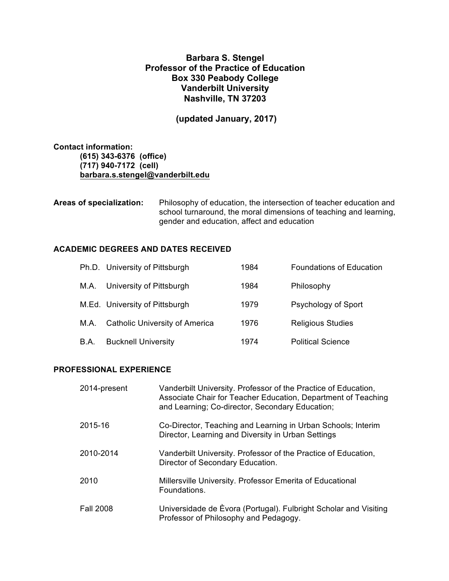# **Barbara S. Stengel Professor of the Practice of Education Box 330 Peabody College Vanderbilt University Nashville, TN 37203**

**(updated January, 2017)**

**Contact information: (615) 343-6376 (office) (717) 940-7172 (cell) barbara.s.stengel@vanderbilt.edu**

**Areas of specialization:** Philosophy of education, the intersection of teacher education and school turnaround, the moral dimensions of teaching and learning, gender and education, affect and education

# **ACADEMIC DEGREES AND DATES RECEIVED**

|      | Ph.D. University of Pittsburgh        | 1984 | <b>Foundations of Education</b> |
|------|---------------------------------------|------|---------------------------------|
| M.A. | University of Pittsburgh              | 1984 | Philosophy                      |
|      | M.Ed. University of Pittsburgh        | 1979 | Psychology of Sport             |
| M.A. | <b>Catholic University of America</b> | 1976 | <b>Religious Studies</b>        |
| B.A. | <b>Bucknell University</b>            | 1974 | <b>Political Science</b>        |

# **PROFESSIONAL EXPERIENCE**

| 2014-present     | Vanderbilt University. Professor of the Practice of Education,<br>Associate Chair for Teacher Education, Department of Teaching<br>and Learning; Co-director, Secondary Education; |
|------------------|------------------------------------------------------------------------------------------------------------------------------------------------------------------------------------|
| 2015-16          | Co-Director, Teaching and Learning in Urban Schools; Interim<br>Director, Learning and Diversity in Urban Settings                                                                 |
| 2010-2014        | Vanderbilt University. Professor of the Practice of Education,<br>Director of Secondary Education.                                                                                 |
| 2010             | Millersville University. Professor Emerita of Educational<br>Foundations.                                                                                                          |
| <b>Fall 2008</b> | Universidade de Evora (Portugal). Fulbright Scholar and Visiting<br>Professor of Philosophy and Pedagogy.                                                                          |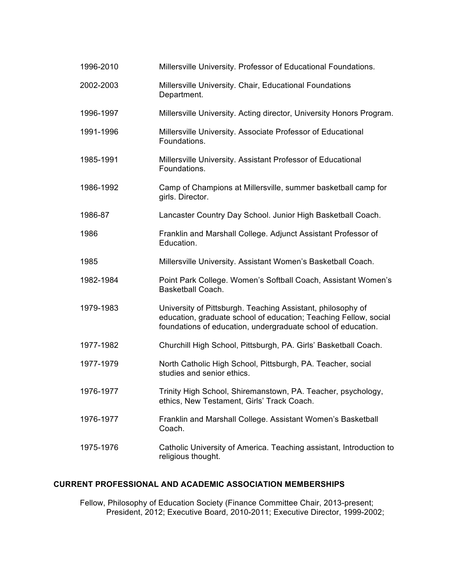| 1996-2010 | Millersville University. Professor of Educational Foundations.                                                                                                                                  |
|-----------|-------------------------------------------------------------------------------------------------------------------------------------------------------------------------------------------------|
| 2002-2003 | Millersville University. Chair, Educational Foundations<br>Department.                                                                                                                          |
| 1996-1997 | Millersville University. Acting director, University Honors Program.                                                                                                                            |
| 1991-1996 | Millersville University. Associate Professor of Educational<br>Foundations.                                                                                                                     |
| 1985-1991 | Millersville University. Assistant Professor of Educational<br>Foundations.                                                                                                                     |
| 1986-1992 | Camp of Champions at Millersville, summer basketball camp for<br>girls. Director.                                                                                                               |
| 1986-87   | Lancaster Country Day School. Junior High Basketball Coach.                                                                                                                                     |
| 1986      | Franklin and Marshall College. Adjunct Assistant Professor of<br>Education.                                                                                                                     |
| 1985      | Millersville University. Assistant Women's Basketball Coach.                                                                                                                                    |
| 1982-1984 | Point Park College. Women's Softball Coach, Assistant Women's<br>Basketball Coach.                                                                                                              |
| 1979-1983 | University of Pittsburgh. Teaching Assistant, philosophy of<br>education, graduate school of education; Teaching Fellow, social<br>foundations of education, undergraduate school of education. |
| 1977-1982 | Churchill High School, Pittsburgh, PA. Girls' Basketball Coach.                                                                                                                                 |
| 1977-1979 | North Catholic High School, Pittsburgh, PA. Teacher, social<br>studies and senior ethics.                                                                                                       |
| 1976-1977 | Trinity High School, Shiremanstown, PA. Teacher, psychology,<br>ethics, New Testament, Girls' Track Coach.                                                                                      |
| 1976-1977 | Franklin and Marshall College. Assistant Women's Basketball<br>Coach.                                                                                                                           |
| 1975-1976 | Catholic University of America. Teaching assistant, Introduction to<br>religious thought.                                                                                                       |

# **CURRENT PROFESSIONAL AND ACADEMIC ASSOCIATION MEMBERSHIPS**

Fellow, Philosophy of Education Society (Finance Committee Chair, 2013-present; President, 2012; Executive Board, 2010-2011; Executive Director, 1999-2002;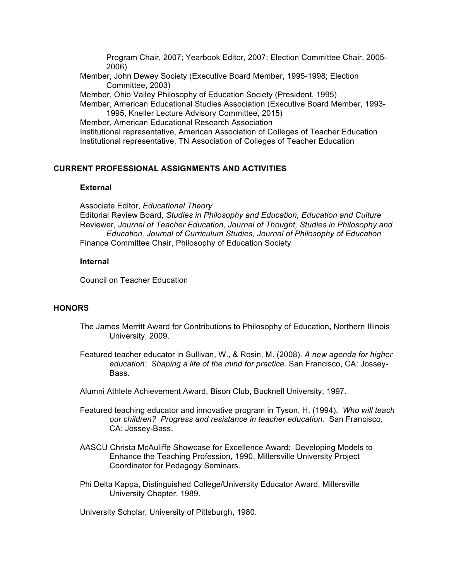Program Chair, 2007; Yearbook Editor, 2007; Election Committee Chair, 2005- 2006)

Member, John Dewey Society (Executive Board Member, 1995-1998; Election Committee, 2003)

Member, Ohio Valley Philosophy of Education Society (President, 1995)

Member, American Educational Studies Association (Executive Board Member, 1993- 1995, Kneller Lecture Advisory Committee, 2015)

Member, American Educational Research Association Institutional representative, American Association of Colleges of Teacher Education Institutional representative, TN Association of Colleges of Teacher Education

# **CURRENT PROFESSIONAL ASSIGNMENTS AND ACTIVITIES**

### **External**

Associate Editor, *Educational Theory* Editorial Review Board, *Studies in Philosophy and Education, Education and Culture* Reviewer, *Journal of Teacher Education, Journal of Thought, Studies in Philosophy and Education, Journal of Curriculum Studies, Journal of Philosophy of Education* Finance Committee Chair, Philosophy of Education Society

#### **Internal**

Council on Teacher Education

### **HONORS**

- The James Merritt Award for Contributions to Philosophy of Education**,** Northern Illinois University, 2009.
- Featured teacher educator in Sullivan, W., & Rosin, M. (2008). *A new agenda for higher education: Shaping a life of the mind for practice*. San Francisco, CA: Jossey-Bass.
- Alumni Athlete Achievement Award, Bison Club, Bucknell University, 1997.
- Featured teaching educator and innovative program in Tyson, H. (1994). *Who will teach our children? Progress and resistance in teacher education.* San Francisco, CA: Jossey-Bass.
- AASCU Christa McAuliffe Showcase for Excellence Award: Developing Models to Enhance the Teaching Profession, 1990, Millersville University Project Coordinator for Pedagogy Seminars.
- Phi Delta Kappa, Distinguished College/University Educator Award, Millersville University Chapter, 1989.

University Scholar, University of Pittsburgh, 1980.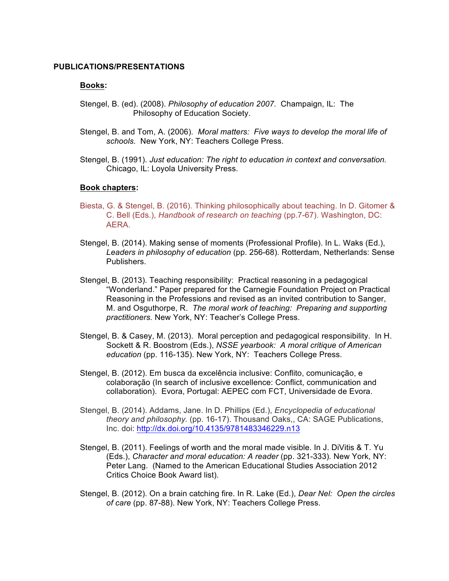#### **PUBLICATIONS/PRESENTATIONS**

#### **Books:**

- Stengel, B. (ed). (2008). *Philosophy of education 2007.* Champaign, IL: The Philosophy of Education Society.
- Stengel, B. and Tom, A. (2006). *Moral matters: Five ways to develop the moral life of schools.* New York, NY: Teachers College Press.
- Stengel, B. (1991). *Just education: The right to education in context and conversation.*  Chicago, IL: Loyola University Press.

#### **Book chapters:**

- Biesta, G. & Stengel, B. (2016). Thinking philosophically about teaching. In D. Gitomer & C. Bell (Eds.), *Handbook of research on teaching* (pp.7-67). Washington, DC: AERA.
- Stengel, B. (2014). Making sense of moments (Professional Profile). In L. Waks (Ed.), *Leaders in philosophy of education* (pp. 256-68). Rotterdam, Netherlands: Sense Publishers.
- Stengel, B. (2013). Teaching responsibility: Practical reasoning in a pedagogical "Wonderland." Paper prepared for the Carnegie Foundation Project on Practical Reasoning in the Professions and revised as an invited contribution to Sanger, M. and Osguthorpe, R. *The moral work of teaching: Preparing and supporting practitioners.* New York, NY: Teacher's College Press.
- Stengel, B. & Casey, M. (2013). Moral perception and pedagogical responsibility. In H. Sockett & R. Boostrom (Eds.), *NSSE yearbook: A moral critique of American education* (pp. 116-135). New York, NY: Teachers College Press.
- Stengel, B. (2012). Em busca da excelência inclusive: Conflito, comunicação, e colaboração (In search of inclusive excellence: Conflict, communication and collaboration). Evora, Portugal: AEPEC com FCT, Universidade de Evora.
- Stengel, B. (2014). Addams, Jane. In D. Phillips (Ed.), *Encyclopedia of educational theory and philosophy.* (pp. 16-17). Thousand Oaks,, CA: SAGE Publications, Inc. doi: http://dx.doi.org/10.4135/9781483346229.n13
- Stengel, B. (2011). Feelings of worth and the moral made visible. In J. DiVitis & T. Yu (Eds.), *Character and moral education: A reader* (pp. 321-333)*.* New York, NY: Peter Lang. (Named to the American Educational Studies Association 2012 Critics Choice Book Award list).
- Stengel, B. (2012). On a brain catching fire. In R. Lake (Ed.), *Dear Nel: Open the circles of care* (pp. 87-88). New York, NY: Teachers College Press.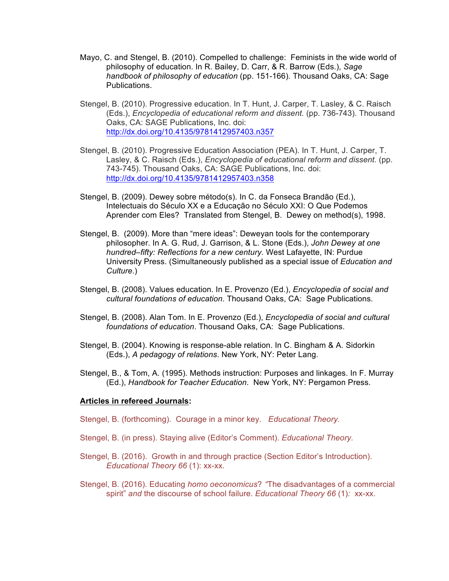- Mayo, C. and Stengel, B. (2010). Compelled to challenge: Feminists in the wide world of philosophy of education. In R. Bailey, D. Carr, & R. Barrow (Eds.), *Sage handbook of philosophy of education* (pp. 151-166)*.* Thousand Oaks, CA: Sage Publications.
- Stengel, B. (2010). Progressive education. In T. Hunt, J. Carper, T. Lasley, & C. Raisch (Eds.), *Encyclopedia of educational reform and dissent.* (pp. 736-743). Thousand Oaks, CA: SAGE Publications, Inc. doi: http://dx.doi.org/10.4135/9781412957403.n357
- Stengel, B. (2010). Progressive Education Association (PEA). In T. Hunt, J. Carper, T. Lasley, & C. Raisch (Eds.), *Encyclopedia of educational reform and dissent.* (pp. 743-745). Thousand Oaks, CA: SAGE Publications, Inc. doi: http://dx.doi.org/10.4135/9781412957403.n358
- Stengel, B. (2009). Dewey sobre método(s). In C. da Fonseca Brandão (Ed.), Intelectuais do Século XX e a Educação no Século XXI: O Que Podemos Aprender com Eles? Translated from Stengel, B. Dewey on method(s), 1998.
- Stengel, B. (2009). More than "mere ideas": Deweyan tools for the contemporary philosopher. In A. G. Rud, J. Garrison, & L. Stone (Eds.), *John Dewey at one hundred–fifty: Reflections for a new century*. West Lafayette, IN: Purdue University Press. (Simultaneously published as a special issue of *Education and Culture*.)
- Stengel, B. (2008). Values education. In E. Provenzo (Ed.), *Encyclopedia of social and cultural foundations of education*. Thousand Oaks, CA: Sage Publications.
- Stengel, B. (2008). Alan Tom. In E. Provenzo (Ed.), *Encyclopedia of social and cultural foundations of education*. Thousand Oaks, CA: Sage Publications.
- Stengel, B. (2004). Knowing is response-able relation. In C. Bingham & A. Sidorkin (Eds.), *A pedagogy of relations*. New York, NY: Peter Lang.
- Stengel, B., & Tom, A. (1995). Methods instruction: Purposes and linkages. In F. Murray (Ed.), *Handbook for Teacher Education*. New York, NY: Pergamon Press.

#### **Articles in refereed Journals:**

Stengel, B. (forthcoming). Courage in a minor key. *Educational Theory.*

- Stengel, B. (in press). Staying alive (Editor's Comment). *Educational Theory.*
- Stengel, B. (2016). Growth in and through practice (Section Editor's Introduction). *Educational Theory 66* (1): xx-xx.
- Stengel, B. (2016). Educating *homo oeconomicus*? *"*The disadvantages of a commercial spirit" *and* the discourse of school failure. *Educational Theory 66* (1)*:* xx-xx.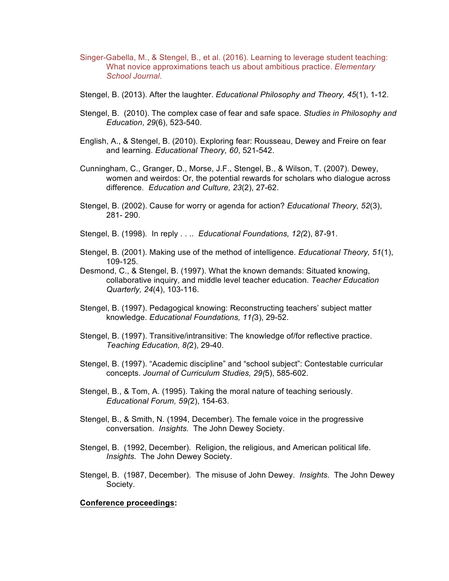- Singer-Gabella, M., & Stengel, B., et al. (2016). Learning to leverage student teaching: What novice approximations teach us about ambitious practice. *Elementary School Journal*.
- Stengel, B. (2013). After the laughter. *Educational Philosophy and Theory, 45*(1), 1-12.
- Stengel, B. (2010). The complex case of fear and safe space. *Studies in Philosophy and Education*, *29*(6), 523-540.
- English, A., & Stengel, B. (2010). Exploring fear: Rousseau, Dewey and Freire on fear and learning. *Educational Theory, 60*, 521-542.
- Cunningham, C., Granger, D., Morse, J.F., Stengel, B., & Wilson, T. (2007). Dewey, women and weirdos: Or, the potential rewards for scholars who dialogue across difference. *Education and Culture, 23*(2), 27-62.
- Stengel, B. (2002). Cause for worry or agenda for action? *Educational Theory, 52*(3), 281- 290.
- Stengel, B. (1998). In reply . . .. *Educational Foundations, 12(*2), 87-91.
- Stengel, B. (2001). Making use of the method of intelligence. *Educational Theory, 51*(1), 109-125.
- Desmond, C., & Stengel, B. (1997). What the known demands: Situated knowing, collaborative inquiry, and middle level teacher education. *Teacher Education Quarterly, 24*(4), 103-116.
- Stengel, B. (1997). Pedagogical knowing: Reconstructing teachers' subject matter knowledge. *Educational Foundations, 11(*3), 29-52.
- Stengel, B. (1997). Transitive/intransitive: The knowledge of/for reflective practice. *Teaching Education, 8(*2), 29-40.
- Stengel, B. (1997). "Academic discipline" and "school subject": Contestable curricular concepts. *Journal of Curriculum Studies, 29(*5), 585-602.
- Stengel, B., & Tom, A. (1995). Taking the moral nature of teaching seriously. *Educational Forum, 59(*2), 154-63.
- Stengel, B., & Smith, N. (1994, December). The female voice in the progressive conversation. *Insights.* The John Dewey Society.
- Stengel, B. (1992, December). Religion, the religious, and American political life. *Insights.* The John Dewey Society.
- Stengel, B. (1987, December). The misuse of John Dewey. *Insights.* The John Dewey Society.

### **Conference proceedings:**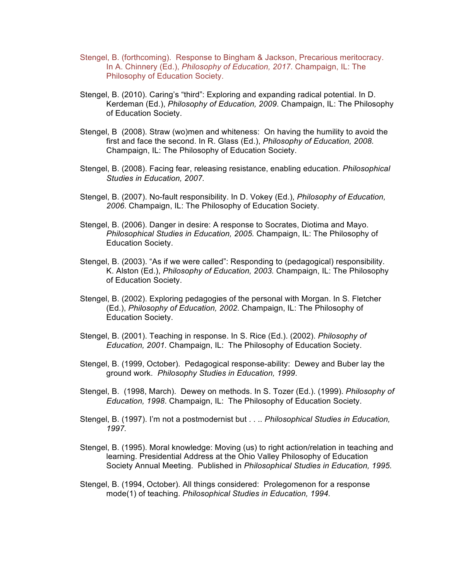- Stengel, B. (forthcoming). Response to Bingham & Jackson, Precarious meritocracy. In A. Chinnery (Ed.), *Philosophy of Education, 2017*. Champaign, IL: The Philosophy of Education Society.
- Stengel, B. (2010). Caring's "third": Exploring and expanding radical potential. In D. Kerdeman (Ed.), *Philosophy of Education, 2009*. Champaign, IL: The Philosophy of Education Society.
- Stengel, B (2008). Straw (wo)men and whiteness: On having the humility to avoid the first and face the second. In R. Glass (Ed.), *Philosophy of Education, 2008.*  Champaign, IL: The Philosophy of Education Society.
- Stengel, B. (2008). Facing fear, releasing resistance, enabling education. *Philosophical Studies in Education, 2007.*
- Stengel, B. (2007). No-fault responsibility. In D. Vokey (Ed.), *Philosophy of Education, 2006*. Champaign, IL: The Philosophy of Education Society.
- Stengel, B. (2006). Danger in desire: A response to Socrates, Diotima and Mayo. *Philosophical Studies in Education, 2005.* Champaign, IL: The Philosophy of Education Society.
- Stengel, B. (2003). "As if we were called": Responding to (pedagogical) responsibility. K. Alston (Ed.), *Philosophy of Education, 2003.* Champaign, IL: The Philosophy of Education Society.
- Stengel, B. (2002). Exploring pedagogies of the personal with Morgan. In S. Fletcher (Ed.), *Philosophy of Education, 2002*. Champaign, IL: The Philosophy of Education Society.
- Stengel, B. (2001). Teaching in response. In S. Rice (Ed.). (2002). *Philosophy of Education, 2001.* Champaign, IL: The Philosophy of Education Society.
- Stengel, B. (1999, October). Pedagogical response-ability: Dewey and Buber lay the ground work. *Philosophy Studies in Education, 1999*.
- Stengel, B. (1998, March). Dewey on methods. In S. Tozer (Ed.). (1999). *Philosophy of Education, 1998*. Champaign, IL: The Philosophy of Education Society.
- Stengel, B. (1997). I'm not a postmodernist but . . .. *Philosophical Studies in Education, 1997.*
- Stengel, B. (1995). Moral knowledge: Moving (us) to right action/relation in teaching and learning. Presidential Address at the Ohio Valley Philosophy of Education Society Annual Meeting. Published in *Philosophical Studies in Education, 1995.*
- Stengel, B. (1994, October). All things considered: Prolegomenon for a response mode(1) of teaching. *Philosophical Studies in Education, 1994.*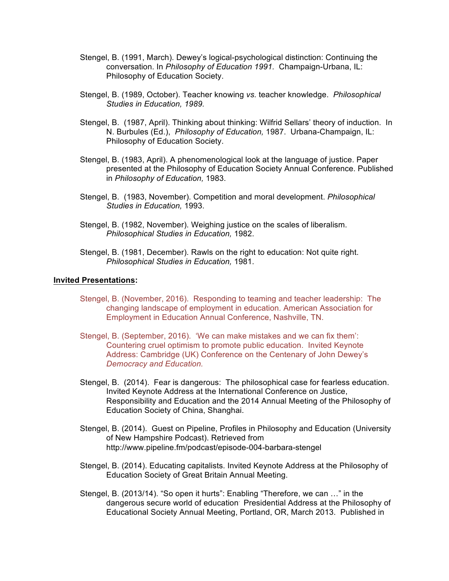- Stengel, B. (1991, March). Dewey's logical-psychological distinction: Continuing the conversation. In *Philosophy of Education 1991.* Champaign-Urbana, IL: Philosophy of Education Society.
- Stengel, B. (1989, October). Teacher knowing *vs.* teacher knowledge. *Philosophical Studies in Education, 1989.*
- Stengel, B. (1987, April). Thinking about thinking: Wilfrid Sellars' theory of induction. In N. Burbules (Ed.), *Philosophy of Education,* 1987. Urbana-Champaign, IL: Philosophy of Education Society.
- Stengel, B. (1983, April). A phenomenological look at the language of justice. Paper presented at the Philosophy of Education Society Annual Conference. Published in *Philosophy of Education,* 1983.
- Stengel, B. (1983, November). Competition and moral development. *Philosophical Studies in Education,* 1993.
- Stengel, B. (1982, November). Weighing justice on the scales of liberalism. *Philosophical Studies in Education,* 1982.
- Stengel, B. (1981, December). Rawls on the right to education: Not quite right. *Philosophical Studies in Education,* 1981.

#### **Invited Presentations:**

- Stengel, B. (November, 2016). Responding to teaming and teacher leadership: The changing landscape of employment in education. American Association for Employment in Education Annual Conference, Nashville, TN.
- Stengel, B. (September, 2016). 'We can make mistakes and we can fix them': Countering cruel optimism to promote public education. Invited Keynote Address: Cambridge (UK) Conference on the Centenary of John Dewey's *Democracy and Education.*
- Stengel, B. (2014). Fear is dangerous: The philosophical case for fearless education. Invited Keynote Address at the International Conference on Justice, Responsibility and Education and the 2014 Annual Meeting of the Philosophy of Education Society of China, Shanghai.
- Stengel, B. (2014). Guest on Pipeline, Profiles in Philosophy and Education (University of New Hampshire Podcast). Retrieved from http://www.pipeline.fm/podcast/episode-004-barbara-stengel
- Stengel, B. (2014). Educating capitalists. Invited Keynote Address at the Philosophy of Education Society of Great Britain Annual Meeting.
- Stengel, B. (2013/14). "So open it hurts": Enabling "Therefore, we can …" in the dangerous secure world of education. Presidential Address at the Philosophy of Educational Society Annual Meeting, Portland, OR, March 2013. Published in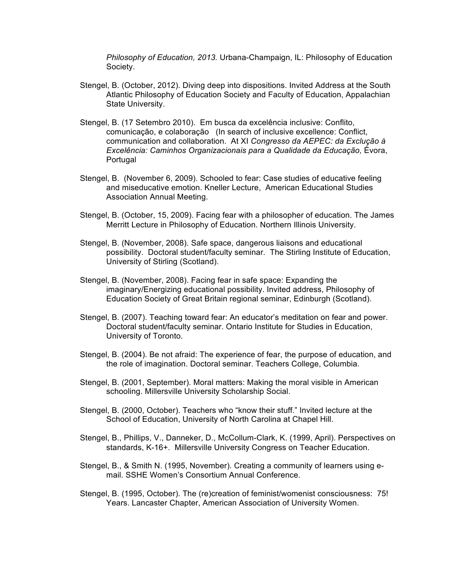*Philosophy of Education, 2013.* Urbana-Champaign, IL: Philosophy of Education Society.

- Stengel, B. (October, 2012). Diving deep into dispositions. Invited Address at the South Atlantic Philosophy of Education Society and Faculty of Education, Appalachian State University.
- Stengel, B. (17 Setembro 2010). Em busca da excelência inclusive: Conflito, comunicação, e colaboração (In search of inclusive excellence: Conflict, communication and collaboration. At XI *Congresso da AEPEC: da Exclução à Excelência: Caminhos Organizacionais para a Qualidade da Educação,* Évora, Portugal
- Stengel, B. (November 6, 2009). Schooled to fear: Case studies of educative feeling and miseducative emotion. Kneller Lecture, American Educational Studies Association Annual Meeting.
- Stengel, B. (October, 15, 2009). Facing fear with a philosopher of education. The James Merritt Lecture in Philosophy of Education. Northern Illinois University.
- Stengel, B. (November, 2008). Safe space, dangerous liaisons and educational possibility. Doctoral student/faculty seminar. The Stirling Institute of Education, University of Stirling (Scotland).
- Stengel, B. (November, 2008). Facing fear in safe space: Expanding the imaginary/Energizing educational possibility. Invited address, Philosophy of Education Society of Great Britain regional seminar, Edinburgh (Scotland).
- Stengel, B. (2007). Teaching toward fear: An educator's meditation on fear and power. Doctoral student/faculty seminar. Ontario Institute for Studies in Education, University of Toronto.
- Stengel, B. (2004). Be not afraid: The experience of fear, the purpose of education, and the role of imagination. Doctoral seminar. Teachers College, Columbia.
- Stengel, B. (2001, September). Moral matters: Making the moral visible in American schooling. Millersville University Scholarship Social.
- Stengel, B. (2000, October). Teachers who "know their stuff." Invited lecture at the School of Education, University of North Carolina at Chapel Hill.
- Stengel, B., Phillips, V., Danneker, D., McCollum-Clark, K. (1999, April). Perspectives on standards, K-16+. Millersville University Congress on Teacher Education.
- Stengel, B., & Smith N. (1995, November). Creating a community of learners using email. SSHE Women's Consortium Annual Conference.
- Stengel, B. (1995, October). The (re)creation of feminist/womenist consciousness: 75! Years. Lancaster Chapter, American Association of University Women.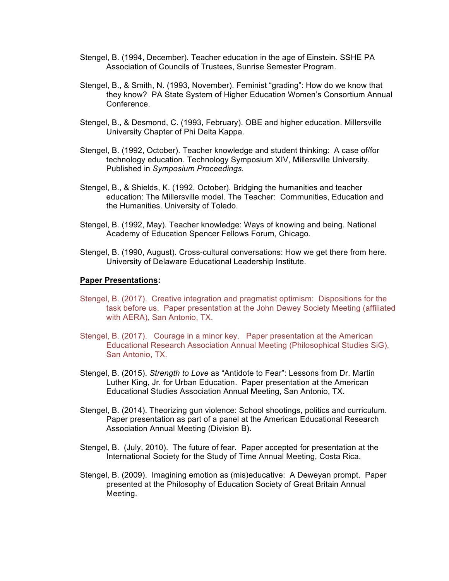- Stengel, B. (1994, December). Teacher education in the age of Einstein. SSHE PA Association of Councils of Trustees, Sunrise Semester Program.
- Stengel, B., & Smith, N. (1993, November). Feminist "grading": How do we know that they know? PA State System of Higher Education Women's Consortium Annual Conference.
- Stengel, B., & Desmond, C. (1993, February). OBE and higher education. Millersville University Chapter of Phi Delta Kappa.
- Stengel, B. (1992, October). Teacher knowledge and student thinking: A case of/for technology education. Technology Symposium XIV, Millersville University. Published in *Symposium Proceedings.*
- Stengel, B., & Shields, K. (1992, October). Bridging the humanities and teacher education: The Millersville model. The Teacher: Communities, Education and the Humanities. University of Toledo.
- Stengel, B. (1992, May). Teacher knowledge: Ways of knowing and being. National Academy of Education Spencer Fellows Forum, Chicago.
- Stengel, B. (1990, August). Cross-cultural conversations: How we get there from here. University of Delaware Educational Leadership Institute.

#### **Paper Presentations:**

- Stengel, B. (2017). Creative integration and pragmatist optimism: Dispositions for the task before us. Paper presentation at the John Dewey Society Meeting (affiliated with AERA), San Antonio, TX.
- Stengel, B. (2017). Courage in a minor key. Paper presentation at the American Educational Research Association Annual Meeting (Philosophical Studies SiG), San Antonio, TX.
- Stengel, B. (2015). *Strength to Love* as "Antidote to Fear": Lessons from Dr. Martin Luther King, Jr. for Urban Education. Paper presentation at the American Educational Studies Association Annual Meeting, San Antonio, TX.
- Stengel, B. (2014). Theorizing gun violence: School shootings, politics and curriculum. Paper presentation as part of a panel at the American Educational Research Association Annual Meeting (Division B).
- Stengel, B. (July, 2010). The future of fear. Paper accepted for presentation at the International Society for the Study of Time Annual Meeting, Costa Rica.
- Stengel, B. (2009). Imagining emotion as (mis)educative: A Deweyan prompt. Paper presented at the Philosophy of Education Society of Great Britain Annual Meeting.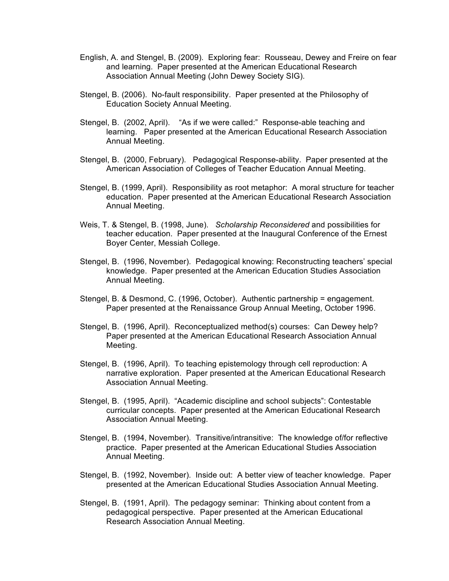- English, A. and Stengel, B. (2009). Exploring fear: Rousseau, Dewey and Freire on fear and learning. Paper presented at the American Educational Research Association Annual Meeting (John Dewey Society SIG).
- Stengel, B. (2006). No-fault responsibility. Paper presented at the Philosophy of Education Society Annual Meeting.
- Stengel, B. (2002, April). "As if we were called:" Response-able teaching and learning. Paper presented at the American Educational Research Association Annual Meeting.
- Stengel, B. (2000, February). Pedagogical Response-ability. Paper presented at the American Association of Colleges of Teacher Education Annual Meeting.
- Stengel, B. (1999, April). Responsibility as root metaphor: A moral structure for teacher education. Paper presented at the American Educational Research Association Annual Meeting.
- Weis, T. & Stengel, B. (1998, June). *Scholarship Reconsidered* and possibilities for teacher education. Paper presented at the Inaugural Conference of the Ernest Boyer Center, Messiah College.
- Stengel, B. (1996, November). Pedagogical knowing: Reconstructing teachers' special knowledge. Paper presented at the American Education Studies Association Annual Meeting.
- Stengel, B. & Desmond, C. (1996, October). Authentic partnership = engagement. Paper presented at the Renaissance Group Annual Meeting, October 1996.
- Stengel, B. (1996, April). Reconceptualized method(s) courses: Can Dewey help? Paper presented at the American Educational Research Association Annual Meeting.
- Stengel, B. (1996, April). To teaching epistemology through cell reproduction: A narrative exploration. Paper presented at the American Educational Research Association Annual Meeting.
- Stengel, B. (1995, April). "Academic discipline and school subjects": Contestable curricular concepts. Paper presented at the American Educational Research Association Annual Meeting.
- Stengel, B. (1994, November). Transitive/intransitive: The knowledge of/for reflective practice. Paper presented at the American Educational Studies Association Annual Meeting.
- Stengel, B. (1992, November). Inside out: A better view of teacher knowledge. Paper presented at the American Educational Studies Association Annual Meeting.
- Stengel, B. (1991, April). The pedagogy seminar: Thinking about content from a pedagogical perspective. Paper presented at the American Educational Research Association Annual Meeting.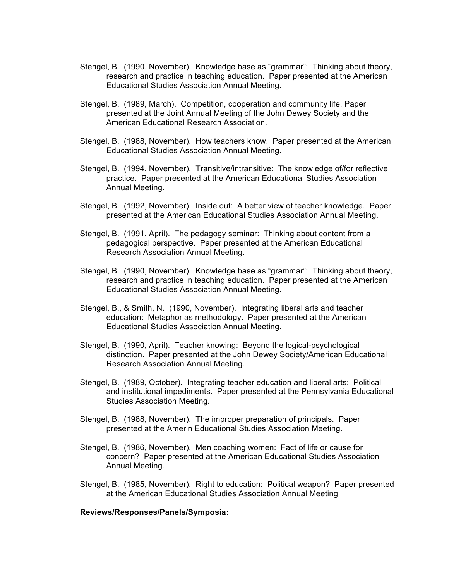- Stengel, B. (1990, November). Knowledge base as "grammar": Thinking about theory, research and practice in teaching education. Paper presented at the American Educational Studies Association Annual Meeting.
- Stengel, B. (1989, March). Competition, cooperation and community life. Paper presented at the Joint Annual Meeting of the John Dewey Society and the American Educational Research Association.
- Stengel, B. (1988, November). How teachers know. Paper presented at the American Educational Studies Association Annual Meeting.
- Stengel, B. (1994, November). Transitive/intransitive: The knowledge of/for reflective practice. Paper presented at the American Educational Studies Association Annual Meeting.
- Stengel, B. (1992, November). Inside out: A better view of teacher knowledge. Paper presented at the American Educational Studies Association Annual Meeting.
- Stengel, B. (1991, April). The pedagogy seminar: Thinking about content from a pedagogical perspective. Paper presented at the American Educational Research Association Annual Meeting.
- Stengel, B. (1990, November). Knowledge base as "grammar": Thinking about theory, research and practice in teaching education. Paper presented at the American Educational Studies Association Annual Meeting.
- Stengel, B., & Smith, N. (1990, November). Integrating liberal arts and teacher education: Metaphor as methodology. Paper presented at the American Educational Studies Association Annual Meeting.
- Stengel, B. (1990, April). Teacher knowing: Beyond the logical-psychological distinction. Paper presented at the John Dewey Society/American Educational Research Association Annual Meeting.
- Stengel, B. (1989, October). Integrating teacher education and liberal arts: Political and institutional impediments. Paper presented at the Pennsylvania Educational Studies Association Meeting.
- Stengel, B. (1988, November). The improper preparation of principals. Paper presented at the Amerin Educational Studies Association Meeting.
- Stengel, B. (1986, November). Men coaching women: Fact of life or cause for concern? Paper presented at the American Educational Studies Association Annual Meeting.
- Stengel, B. (1985, November). Right to education: Political weapon? Paper presented at the American Educational Studies Association Annual Meeting

#### **Reviews/Responses/Panels/Symposia:**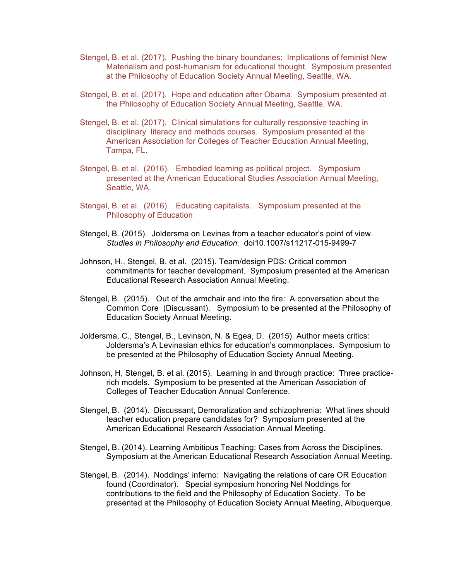- Stengel, B. et al. (2017). Pushing the binary boundaries: Implications of feminist New Materialism and post-humanism for educational thought. Symposium presented at the Philosophy of Education Society Annual Meeting, Seattle, WA.
- Stengel, B. et al. (2017). Hope and education after Obama. Symposium presented at the Philosophy of Education Society Annual Meeting, Seattle, WA.
- Stengel, B. et al. (2017). Clinical simulations for culturally responsive teaching in disciplinary literacy and methods courses. Symposium presented at the American Association for Colleges of Teacher Education Annual Meeting, Tampa, FL.
- Stengel, B. et al. (2016). Embodied learning as political project. Symposium presented at the American Educational Studies Association Annual Meeting, Seattle, WA.
- Stengel, B. et al. (2016). Educating capitalists. Symposium presented at the Philosophy of Education
- Stengel, B. (2015). Joldersma on Levinas from a teacher educator's point of view. *Studies in Philosophy and Education.* doi10.1007/s11217-015-9499-7
- Johnson, H., Stengel, B. et al. (2015). Team/design PDS: Critical common commitments for teacher development. Symposium presented at the American Educational Research Association Annual Meeting.
- Stengel, B. (2015). Out of the armchair and into the fire: A conversation about the Common Core (Discussant). Symposium to be presented at the Philosophy of Education Society Annual Meeting.
- Joldersma, C., Stengel, B., Levinson, N. & Egea, D. (2015). Author meets critics: Joldersma's A Levinasian ethics for education's commonplaces. Symposium to be presented at the Philosophy of Education Society Annual Meeting.
- Johnson, H, Stengel, B. et al. (2015). Learning in and through practice: Three practicerich models. Symposium to be presented at the American Association of Colleges of Teacher Education Annual Conference.
- Stengel, B. (2014). Discussant, Demoralization and schizophrenia: What lines should teacher education prepare candidates for? Symposium presented at the American Educational Research Association Annual Meeting.
- Stengel, B. (2014). Learning Ambitious Teaching: Cases from Across the Disciplines. Symposium at the American Educational Research Association Annual Meeting.
- Stengel, B. (2014). Noddings' inferno: Navigating the relations of care OR Education found (Coordinator). Special symposium honoring Nel Noddings for contributions to the field and the Philosophy of Education Society. To be presented at the Philosophy of Education Society Annual Meeting, Albuquerque.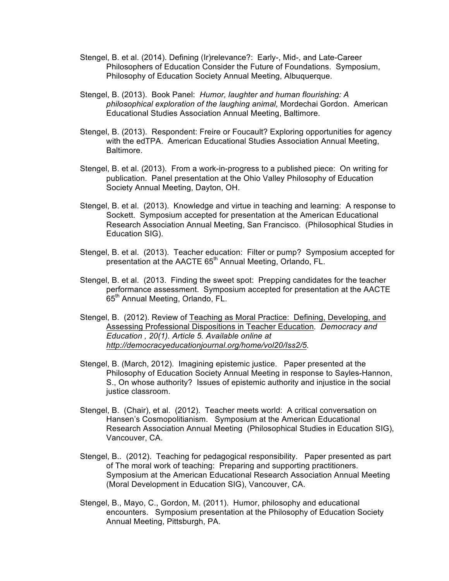- Stengel, B. et al. (2014). Defining (Ir)relevance?: Early-, Mid-, and Late-Career Philosophers of Education Consider the Future of Foundations. Symposium, Philosophy of Education Society Annual Meeting, Albuquerque.
- Stengel, B. (2013). Book Panel: *Humor, laughter and human flourishing: A philosophical exploration of the laughing animal,* Mordechai Gordon. American Educational Studies Association Annual Meeting, Baltimore.
- Stengel, B. (2013). Respondent: Freire or Foucault? Exploring opportunities for agency with the edTPA. American Educational Studies Association Annual Meeting, Baltimore.
- Stengel, B. et al. (2013). From a work-in-progress to a published piece: On writing for publication. Panel presentation at the Ohio Valley Philosophy of Education Society Annual Meeting, Dayton, OH.
- Stengel, B. et al. (2013). Knowledge and virtue in teaching and learning: A response to Sockett. Symposium accepted for presentation at the American Educational Research Association Annual Meeting, San Francisco. (Philosophical Studies in Education SIG).
- Stengel, B. et al. (2013). Teacher education: Filter or pump? Symposium accepted for presentation at the AACTE 65<sup>th</sup> Annual Meeting, Orlando, FL.
- Stengel, B. et al. (2013. Finding the sweet spot: Prepping candidates for the teacher performance assessment. Symposium accepted for presentation at the AACTE 65<sup>th</sup> Annual Meeting, Orlando, FL.
- Stengel, B. (2012). Review of Teaching as Moral Practice: Defining, Developing, and Assessing Professional Dispositions in Teacher Education*. Democracy and Education , 20(1). Article 5. Available online at http://democracyeducationjournal.org/home/vol20/Iss2/5.*
- Stengel, B. (March, 2012). Imagining epistemic justice. Paper presented at the Philosophy of Education Society Annual Meeting in response to Sayles-Hannon, S., On whose authority? Issues of epistemic authority and injustice in the social justice classroom.
- Stengel, B. (Chair), et al. (2012). Teacher meets world: A critical conversation on Hansen's Cosmopolitianism. Symposium at the American Educational Research Association Annual Meeting (Philosophical Studies in Education SIG), Vancouver, CA.
- Stengel, B.. (2012). Teaching for pedagogical responsibility. Paper presented as part of The moral work of teaching: Preparing and supporting practitioners. Symposium at the American Educational Research Association Annual Meeting (Moral Development in Education SIG), Vancouver, CA.
- Stengel, B., Mayo, C., Gordon, M. (2011). Humor, philosophy and educational encounters. Symposium presentation at the Philosophy of Education Society Annual Meeting, Pittsburgh, PA.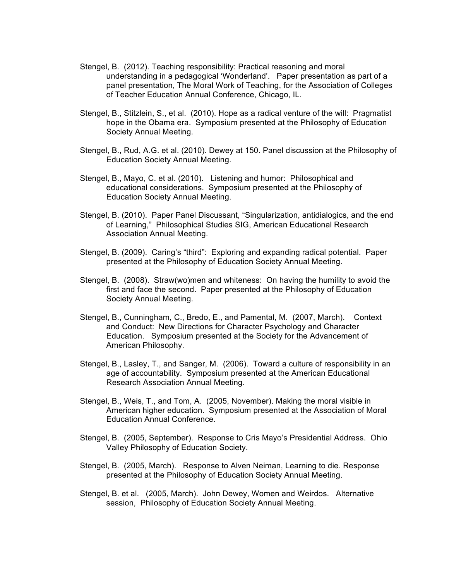- Stengel, B. (2012). Teaching responsibility: Practical reasoning and moral understanding in a pedagogical 'Wonderland'. Paper presentation as part of a panel presentation, The Moral Work of Teaching, for the Association of Colleges of Teacher Education Annual Conference, Chicago, IL.
- Stengel, B., Stitzlein, S., et al. (2010). Hope as a radical venture of the will: Pragmatist hope in the Obama era. Symposium presented at the Philosophy of Education Society Annual Meeting.
- Stengel, B., Rud, A.G. et al. (2010). Dewey at 150. Panel discussion at the Philosophy of Education Society Annual Meeting.
- Stengel, B., Mayo, C. et al. (2010). Listening and humor: Philosophical and educational considerations. Symposium presented at the Philosophy of Education Society Annual Meeting.
- Stengel, B. (2010). Paper Panel Discussant, "Singularization, antidialogics, and the end of Learning," Philosophical Studies SIG, American Educational Research Association Annual Meeting.
- Stengel, B. (2009). Caring's "third": Exploring and expanding radical potential. Paper presented at the Philosophy of Education Society Annual Meeting.
- Stengel, B. (2008). Straw(wo)men and whiteness: On having the humility to avoid the first and face the second. Paper presented at the Philosophy of Education Society Annual Meeting.
- Stengel, B., Cunningham, C., Bredo, E., and Pamental, M. (2007, March). Context and Conduct: New Directions for Character Psychology and Character Education. Symposium presented at the Society for the Advancement of American Philosophy.
- Stengel, B., Lasley, T., and Sanger, M. (2006). Toward a culture of responsibility in an age of accountability. Symposium presented at the American Educational Research Association Annual Meeting.
- Stengel, B., Weis, T., and Tom, A. (2005, November). Making the moral visible in American higher education. Symposium presented at the Association of Moral Education Annual Conference.
- Stengel, B. (2005, September). Response to Cris Mayo's Presidential Address. Ohio Valley Philosophy of Education Society.
- Stengel, B. (2005, March). Response to Alven Neiman, Learning to die. Response presented at the Philosophy of Education Society Annual Meeting.
- Stengel, B. et al. (2005, March). John Dewey, Women and Weirdos. Alternative session, Philosophy of Education Society Annual Meeting.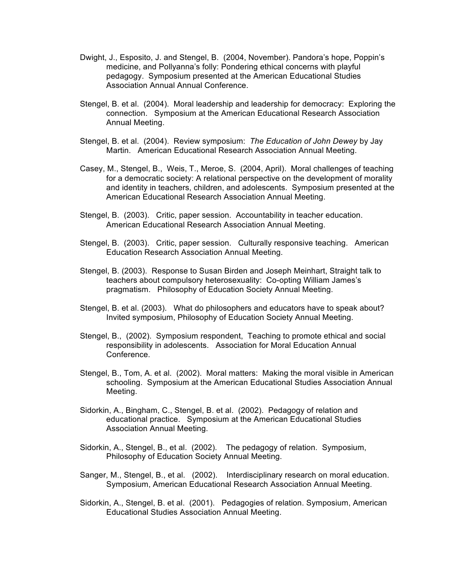- Dwight, J., Esposito, J. and Stengel, B. (2004, November). Pandora's hope, Poppin's medicine, and Pollyanna's folly: Pondering ethical concerns with playful pedagogy. Symposium presented at the American Educational Studies Association Annual Annual Conference.
- Stengel, B. et al. (2004). Moral leadership and leadership for democracy: Exploring the connection. Symposium at the American Educational Research Association Annual Meeting.
- Stengel, B. et al. (2004). Review symposium: *The Education of John Dewey* by Jay Martin. American Educational Research Association Annual Meeting.
- Casey, M., Stengel, B., Weis, T., Meroe, S. (2004, April). Moral challenges of teaching for a democratic society: A relational perspective on the development of morality and identity in teachers, children, and adolescents. Symposium presented at the American Educational Research Association Annual Meeting.
- Stengel, B. (2003). Critic, paper session. Accountability in teacher education. American Educational Research Association Annual Meeting.
- Stengel, B. (2003). Critic, paper session. Culturally responsive teaching. American Education Research Association Annual Meeting.
- Stengel, B. (2003). Response to Susan Birden and Joseph Meinhart, Straight talk to teachers about compulsory heterosexuality: Co-opting William James's pragmatism. Philosophy of Education Society Annual Meeting.
- Stengel, B. et al. (2003). What do philosophers and educators have to speak about? Invited symposium, Philosophy of Education Society Annual Meeting.
- Stengel, B., (2002). Symposium respondent, Teaching to promote ethical and social responsibility in adolescents. Association for Moral Education Annual Conference.
- Stengel, B., Tom, A. et al. (2002). Moral matters: Making the moral visible in American schooling. Symposium at the American Educational Studies Association Annual Meeting.
- Sidorkin, A., Bingham, C., Stengel, B. et al. (2002). Pedagogy of relation and educational practice. Symposium at the American Educational Studies Association Annual Meeting.
- Sidorkin, A., Stengel, B., et al. (2002). The pedagogy of relation. Symposium, Philosophy of Education Society Annual Meeting.
- Sanger, M., Stengel, B., et al. (2002). Interdisciplinary research on moral education. Symposium, American Educational Research Association Annual Meeting.
- Sidorkin, A., Stengel, B. et al. (2001). Pedagogies of relation. Symposium, American Educational Studies Association Annual Meeting.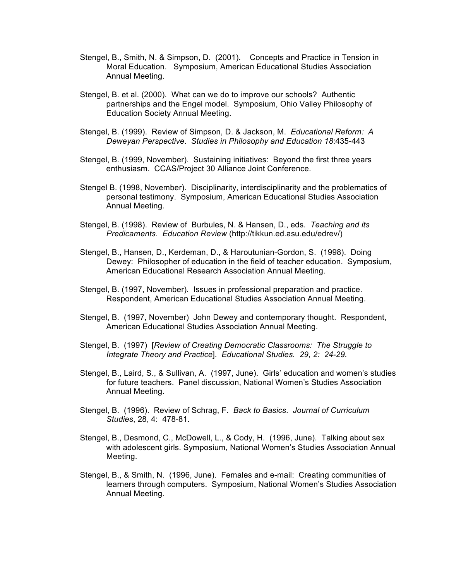- Stengel, B., Smith, N. & Simpson, D. (2001). Concepts and Practice in Tension in Moral Education. Symposium, American Educational Studies Association Annual Meeting.
- Stengel, B. et al. (2000). What can we do to improve our schools? Authentic partnerships and the Engel model. Symposium, Ohio Valley Philosophy of Education Society Annual Meeting.
- Stengel, B. (1999). Review of Simpson, D. & Jackson, M. *Educational Reform: A Deweyan Perspective*. *Studies in Philosophy and Education 18*:435-443
- Stengel, B. (1999, November). Sustaining initiatives: Beyond the first three years enthusiasm. CCAS/Project 30 Alliance Joint Conference.
- Stengel B. (1998, November). Disciplinarity, interdisciplinarity and the problematics of personal testimony. Symposium, American Educational Studies Association Annual Meeting.
- Stengel, B. (1998). Review of Burbules, N. & Hansen, D., eds. *Teaching and its Predicaments*. *Education Review* (http://tikkun.ed.asu.edu/edrev/)
- Stengel, B., Hansen, D., Kerdeman, D., & Haroutunian-Gordon, S. (1998). Doing Dewey: Philosopher of education in the field of teacher education. Symposium, American Educational Research Association Annual Meeting.
- Stengel, B. (1997, November). Issues in professional preparation and practice. Respondent, American Educational Studies Association Annual Meeting.
- Stengel, B. (1997, November) John Dewey and contemporary thought. Respondent, American Educational Studies Association Annual Meeting.
- Stengel, B. (1997) [*Review of Creating Democratic Classrooms: The Struggle to Integrate Theory and Practice*]. *Educational Studies. 29, 2: 24-29.*
- Stengel, B., Laird, S., & Sullivan, A. (1997, June). Girls' education and women's studies for future teachers. Panel discussion, National Women's Studies Association Annual Meeting.
- Stengel, B. (1996). Review of Schrag, F. *Back to Basics*. *Journal of Curriculum Studies*, 28, 4: 478-81.
- Stengel, B., Desmond, C., McDowell, L., & Cody, H. (1996, June). Talking about sex with adolescent girls. Symposium, National Women's Studies Association Annual Meeting.
- Stengel, B., & Smith, N. (1996, June). Females and e-mail: Creating communities of learners through computers. Symposium, National Women's Studies Association Annual Meeting.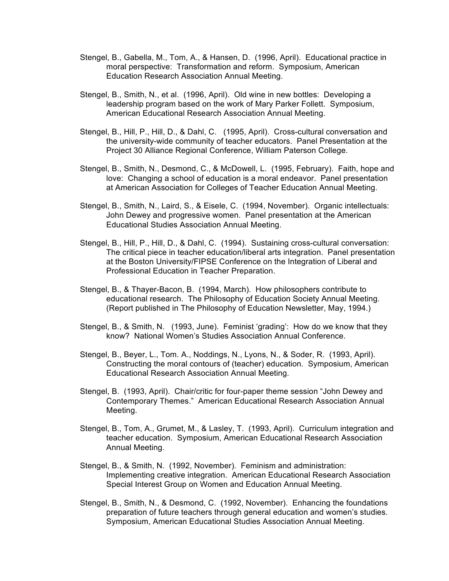- Stengel, B., Gabella, M., Tom, A., & Hansen, D. (1996, April). Educational practice in moral perspective: Transformation and reform. Symposium, American Education Research Association Annual Meeting.
- Stengel, B., Smith, N., et al. (1996, April). Old wine in new bottles: Developing a leadership program based on the work of Mary Parker Follett. Symposium, American Educational Research Association Annual Meeting.
- Stengel, B., Hill, P., Hill, D., & Dahl, C. (1995, April). Cross-cultural conversation and the university-wide community of teacher educators. Panel Presentation at the Project 30 Alliance Regional Conference, William Paterson College.
- Stengel, B., Smith, N., Desmond, C., & McDowell, L. (1995, February). Faith, hope and love: Changing a school of education is a moral endeavor. Panel presentation at American Association for Colleges of Teacher Education Annual Meeting.
- Stengel, B., Smith, N., Laird, S., & Eisele, C. (1994, November). Organic intellectuals: John Dewey and progressive women. Panel presentation at the American Educational Studies Association Annual Meeting.
- Stengel, B., Hill, P., Hill, D., & Dahl, C. (1994). Sustaining cross-cultural conversation: The critical piece in teacher education/liberal arts integration. Panel presentation at the Boston University/FIPSE Conference on the Integration of Liberal and Professional Education in Teacher Preparation.
- Stengel, B., & Thayer-Bacon, B. (1994, March). How philosophers contribute to educational research. The Philosophy of Education Society Annual Meeting. (Report published in The Philosophy of Education Newsletter, May, 1994.)
- Stengel, B., & Smith, N. (1993, June). Feminist 'grading': How do we know that they know? National Women's Studies Association Annual Conference.
- Stengel, B., Beyer, L., Tom. A., Noddings, N., Lyons, N., & Soder, R. (1993, April). Constructing the moral contours of (teacher) education. Symposium, American Educational Research Association Annual Meeting.
- Stengel, B. (1993, April). Chair/critic for four-paper theme session "John Dewey and Contemporary Themes." American Educational Research Association Annual Meeting.
- Stengel, B., Tom, A., Grumet, M., & Lasley, T. (1993, April). Curriculum integration and teacher education. Symposium, American Educational Research Association Annual Meeting.
- Stengel, B., & Smith, N. (1992, November). Feminism and administration: Implementing creative integration. American Educational Research Association Special Interest Group on Women and Education Annual Meeting.
- Stengel, B., Smith, N., & Desmond, C. (1992, November). Enhancing the foundations preparation of future teachers through general education and women's studies. Symposium, American Educational Studies Association Annual Meeting.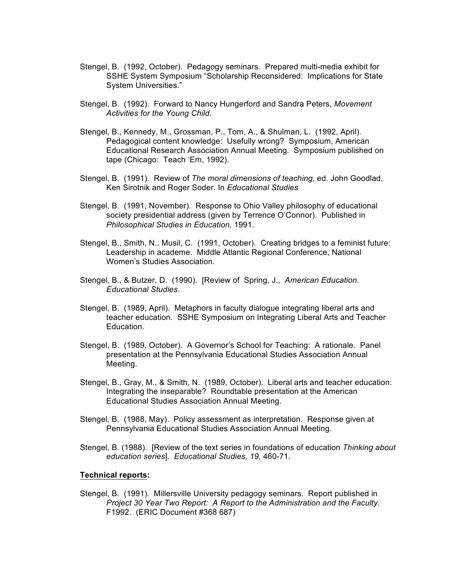- Stengel, B. (1992, October). Pedagogy seminars. Prepared multi-media exhibit for SSHE System Symposium "Scholarship Reconsidered: Implications for State System Universities."
- Stengel, B. (1992). Forward to Nancy Hungerford and Sandra Peters, *Movement Activities for the Young Child.*
- Stengel, B., Kennedy, M., Grossman, P., Tom, A., & Shulman, L. (1992, April). Pedagogical content knowledge: Usefully wrong? Symposium, American Educational Research Association Annual Meeting. Symposium published on tape (Chicago: Teach 'Em, 1992).
- Stengel, B. (1991). Review of *The moral dimensions of teaching,* ed. John Goodlad, Ken Sirotnik and Roger Soder. In *Educational Studies*
- Stengel, B. (1991, November). Response to Ohio Valley philosophy of educational society presidential address (given by Terrence O'Connor). Published in *Philosophical Studies in Education,* 1991.
- Stengel, B., Smith, N., Musil, C. (1991, October). Creating bridges to a feminist future: Leadership in academe. Middle Atlantic Regional Conference, National Women's Studies Association.
- Stengel, B., & Butzer, D. (1990). [Review of Spring, J., *American Education*. *Educational Studies*.
- Stengel, B. (1989, April). Metaphors in faculty dialogue integrating liberal arts and teacher education. SSHE Symposium on Integrating Liberal Arts and Teacher Education.
- Stengel, B. (1989, October). A Governor's School for Teaching: A rationale. Panel presentation at the Pennsylvania Educational Studies Association Annual Meeting.
- Stengel, B., Gray, M., & Smith, N. (1989, October). Liberal arts and teacher education: Integrating the inseparable? Roundtable presentation at the American Educational Studies Association Annual Meeting.
- Stengel, B. (1988, May). Policy assessment as interpretation. Response given at Pennsylvania Educational Studies Association Annual Meeting.
- Stengel, B. (1988). [Review of the text series in foundations of education *Thinking about education series*]. *Educational Studies, 19,* 460-71.

#### **Technical reports:**

Stengel, B. (1991). Millersville University pedagogy seminars. Report published in *Project 30 Year Two Report: A Report to the Administration and the Faculty.* F1992. (ERIC Document #368 687)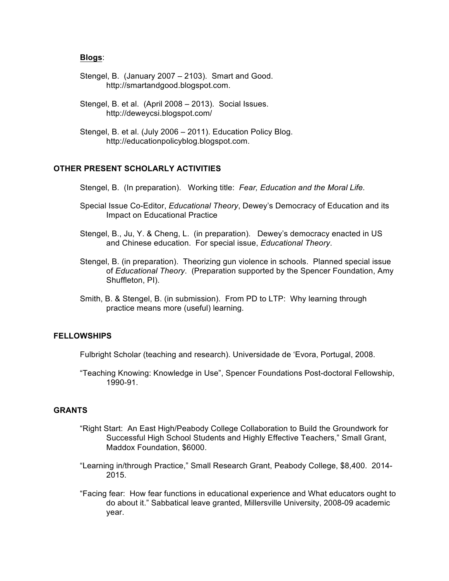#### **Blogs**:

- Stengel, B. (January 2007 2103). Smart and Good. http://smartandgood.blogspot.com.
- Stengel, B. et al. (April 2008 2013). Social Issues. http://deweycsi.blogspot.com/
- Stengel, B. et al. (July 2006 2011). Education Policy Blog. http://educationpolicyblog.blogspot.com.

### **OTHER PRESENT SCHOLARLY ACTIVITIES**

- Stengel, B. (In preparation). Working title: *Fear, Education and the Moral Life.*
- Special Issue Co-Editor, *Educational Theory*, Dewey's Democracy of Education and its Impact on Educational Practice
- Stengel, B., Ju, Y. & Cheng, L. (in preparation). Dewey's democracy enacted in US and Chinese education. For special issue, *Educational Theory*.
- Stengel, B. (in preparation). Theorizing gun violence in schools. Planned special issue of *Educational Theory*. (Preparation supported by the Spencer Foundation, Amy Shuffleton, PI).
- Smith, B. & Stengel, B. (in submission). From PD to LTP: Why learning through practice means more (useful) learning.

# **FELLOWSHIPS**

Fulbright Scholar (teaching and research). Universidade de 'Evora, Portugal, 2008.

"Teaching Knowing: Knowledge in Use", Spencer Foundations Post-doctoral Fellowship, 1990-91.

### **GRANTS**

- "Right Start: An East High/Peabody College Collaboration to Build the Groundwork for Successful High School Students and Highly Effective Teachers," Small Grant, Maddox Foundation, \$6000.
- "Learning in/through Practice," Small Research Grant, Peabody College, \$8,400. 2014- 2015.
- "Facing fear: How fear functions in educational experience and What educators ought to do about it." Sabbatical leave granted, Millersville University, 2008-09 academic year.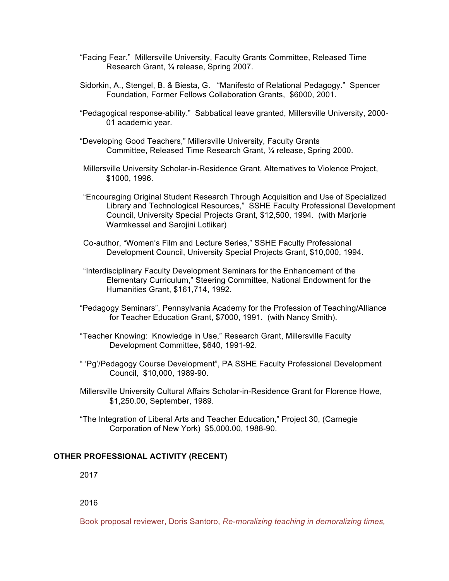- "Facing Fear." Millersville University, Faculty Grants Committee, Released Time Research Grant, ¼ release, Spring 2007.
- Sidorkin, A., Stengel, B. & Biesta, G. "Manifesto of Relational Pedagogy." Spencer Foundation, Former Fellows Collaboration Grants, \$6000, 2001.
- "Pedagogical response-ability." Sabbatical leave granted, Millersville University, 2000- 01 academic year.
- "Developing Good Teachers," Millersville University, Faculty Grants Committee, Released Time Research Grant, ¼ release, Spring 2000.
- Millersville University Scholar-in-Residence Grant, Alternatives to Violence Project, \$1000, 1996.
- "Encouraging Original Student Research Through Acquisition and Use of Specialized Library and Technological Resources," SSHE Faculty Professional Development Council, University Special Projects Grant, \$12,500, 1994. (with Marjorie Warmkessel and Sarojini Lotlikar)
- Co-author, "Women's Film and Lecture Series," SSHE Faculty Professional Development Council, University Special Projects Grant, \$10,000, 1994.
- "Interdisciplinary Faculty Development Seminars for the Enhancement of the Elementary Curriculum," Steering Committee, National Endowment for the Humanities Grant, \$161,714, 1992.
- "Pedagogy Seminars", Pennsylvania Academy for the Profession of Teaching/Alliance for Teacher Education Grant, \$7000, 1991. (with Nancy Smith).
- "Teacher Knowing: Knowledge in Use," Research Grant, Millersville Faculty Development Committee, \$640, 1991-92.
- " 'Pg'/Pedagogy Course Development", PA SSHE Faculty Professional Development Council, \$10,000, 1989-90.
- Millersville University Cultural Affairs Scholar-in-Residence Grant for Florence Howe, \$1,250.00, September, 1989.
- "The Integration of Liberal Arts and Teacher Education," Project 30, (Carnegie Corporation of New York) \$5,000.00, 1988-90.

### **OTHER PROFESSIONAL ACTIVITY (RECENT)**

2017

2016

Book proposal reviewer, Doris Santoro, *Re-moralizing teaching in demoralizing times,*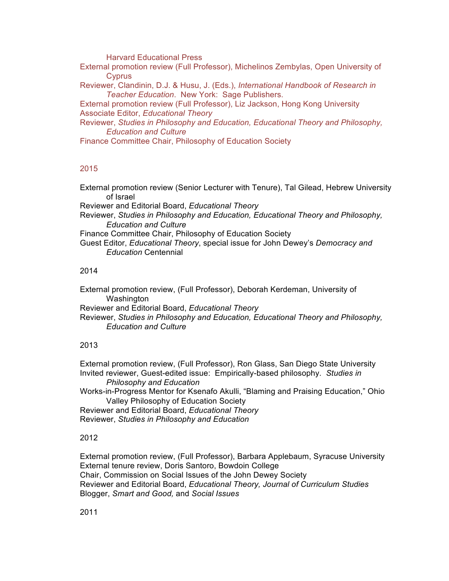Harvard Educational Press

External promotion review (Full Professor), Michelinos Zembylas, Open University of Cyprus

Reviewer, Clandinin, D.J. & Husu, J. (Eds.), *International Handbook of Research in Teacher Education*. New York: Sage Publishers.

External promotion review (Full Professor), Liz Jackson, Hong Kong University Associate Editor, *Educational Theory*

Reviewer, *Studies in Philosophy and Education, Educational Theory and Philosophy, Education and Culture*

Finance Committee Chair, Philosophy of Education Society

### 2015

External promotion review (Senior Lecturer with Tenure), Tal Gilead, Hebrew University of Israel

Reviewer and Editorial Board, *Educational Theory*

Reviewer, *Studies in Philosophy and Education, Educational Theory and Philosophy, Education and Culture*

Finance Committee Chair, Philosophy of Education Society

Guest Editor, *Educational Theory*, special issue for John Dewey's *Democracy and Education* Centennial

### 2014

External promotion review, (Full Professor), Deborah Kerdeman, University of Washington

Reviewer and Editorial Board, *Educational Theory*

Reviewer, *Studies in Philosophy and Education, Educational Theory and Philosophy, Education and Culture*

# 2013

External promotion review, (Full Professor), Ron Glass, San Diego State University Invited reviewer, Guest-edited issue: Empirically-based philosophy. *Studies in* 

*Philosophy and Education*

Works-in-Progress Mentor for Ksenafo Akulli, "Blaming and Praising Education," Ohio Valley Philosophy of Education Society

Reviewer and Editorial Board, *Educational Theory* Reviewer, *Studies in Philosophy and Education*

### 2012

External promotion review, (Full Professor), Barbara Applebaum, Syracuse University External tenure review, Doris Santoro, Bowdoin College Chair, Commission on Social Issues of the John Dewey Society Reviewer and Editorial Board, *Educational Theory, Journal of Curriculum Studies* Blogger, *Smart and Good,* and *Social Issues*

2011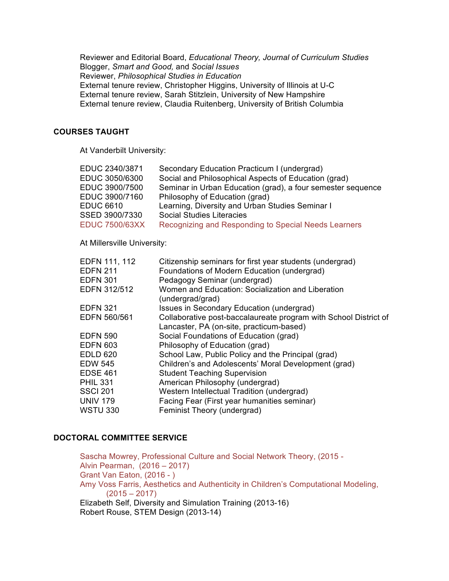Reviewer and Editorial Board, *Educational Theory, Journal of Curriculum Studies* Blogger, *Smart and Good,* and *Social Issues* Reviewer, *Philosophical Studies in Education* External tenure review, Christopher Higgins, University of Illinois at U-C External tenure review, Sarah Stitzlein, University of New Hampshire External tenure review, Claudia Ruitenberg, University of British Columbia

#### **COURSES TAUGHT**

At Vanderbilt University:

| EDUC 2340/3871        | Secondary Education Practicum I (undergrad)                 |
|-----------------------|-------------------------------------------------------------|
| EDUC 3050/6300        | Social and Philosophical Aspects of Education (grad)        |
| EDUC 3900/7500        | Seminar in Urban Education (grad), a four semester sequence |
| EDUC 3900/7160        | Philosophy of Education (grad)                              |
| <b>EDUC 6610</b>      | Learning, Diversity and Urban Studies Seminar I             |
| SSED 3900/7330        | <b>Social Studies Literacies</b>                            |
| <b>EDUC 7500/63XX</b> | Recognizing and Responding to Special Needs Learners        |
|                       |                                                             |

At Millersville University:

| EDFN 111, 112<br><b>EDFN 211</b> | Citizenship seminars for first year students (undergrad)<br>Foundations of Modern Education (undergrad) |
|----------------------------------|---------------------------------------------------------------------------------------------------------|
| <b>EDFN 301</b>                  | Pedagogy Seminar (undergrad)                                                                            |
| EDFN 312/512                     | Women and Education: Socialization and Liberation<br>(undergrad/grad)                                   |
| <b>EDFN 321</b>                  | Issues in Secondary Education (undergrad)                                                               |
| EDFN 560/561                     | Collaborative post-baccalaureate program with School District of                                        |
|                                  | Lancaster, PA (on-site, practicum-based)                                                                |
| <b>EDFN 590</b>                  | Social Foundations of Education (grad)                                                                  |
| <b>EDFN 603</b>                  | Philosophy of Education (grad)                                                                          |
| <b>EDLD 620</b>                  | School Law, Public Policy and the Principal (grad)                                                      |
| EDW 545                          | Children's and Adolescents' Moral Development (grad)                                                    |
| EDSE 461                         | <b>Student Teaching Supervision</b>                                                                     |
| PHIL 331                         | American Philosophy (undergrad)                                                                         |
| <b>SSCI 201</b>                  | Western Intellectual Tradition (undergrad)                                                              |
| <b>UNIV 179</b>                  | Facing Fear (First year humanities seminar)                                                             |
| <b>WSTU 330</b>                  | Feminist Theory (undergrad)                                                                             |
|                                  |                                                                                                         |

# **DOCTORAL COMMITTEE SERVICE**

Sascha Mowrey, Professional Culture and Social Network Theory, (2015 - Alvin Pearman, (2016 – 2017) Grant Van Eaton, (2016 - ) Amy Voss Farris, Aesthetics and Authenticity in Children's Computational Modeling,  $(2015 - 2017)$ Elizabeth Self, Diversity and Simulation Training (2013-16) Robert Rouse, STEM Design (2013-14)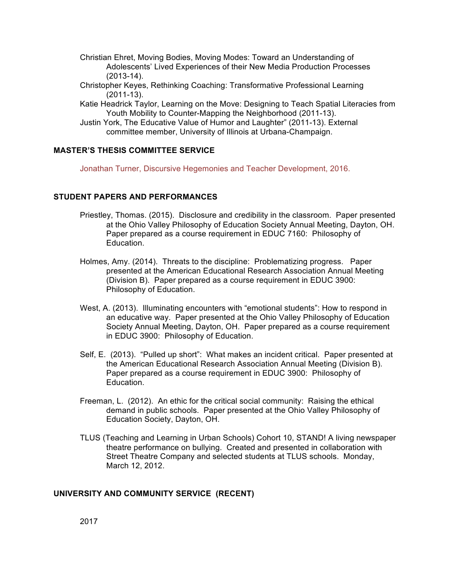- Christian Ehret, Moving Bodies, Moving Modes: Toward an Understanding of Adolescents' Lived Experiences of their New Media Production Processes (2013-14).
- Christopher Keyes, Rethinking Coaching: Transformative Professional Learning (2011-13).
- Katie Headrick Taylor, Learning on the Move: Designing to Teach Spatial Literacies from Youth Mobility to Counter-Mapping the Neighborhood (2011-13).
- Justin York, The Educative Value of Humor and Laughter" (2011-13). External committee member, University of Illinois at Urbana-Champaign.

# **MASTER'S THESIS COMMITTEE SERVICE**

Jonathan Turner, Discursive Hegemonies and Teacher Development, 2016.

# **STUDENT PAPERS AND PERFORMANCES**

- Priestley, Thomas. (2015). Disclosure and credibility in the classroom. Paper presented at the Ohio Valley Philosophy of Education Society Annual Meeting, Dayton, OH. Paper prepared as a course requirement in EDUC 7160: Philosophy of Education.
- Holmes, Amy. (2014). Threats to the discipline: Problematizing progress. Paper presented at the American Educational Research Association Annual Meeting (Division B). Paper prepared as a course requirement in EDUC 3900: Philosophy of Education.
- West, A. (2013). Illuminating encounters with "emotional students": How to respond in an educative way. Paper presented at the Ohio Valley Philosophy of Education Society Annual Meeting, Dayton, OH. Paper prepared as a course requirement in EDUC 3900: Philosophy of Education.
- Self, E. (2013). "Pulled up short": What makes an incident critical. Paper presented at the American Educational Research Association Annual Meeting (Division B). Paper prepared as a course requirement in EDUC 3900: Philosophy of Education.
- Freeman, L. (2012). An ethic for the critical social community: Raising the ethical demand in public schools. Paper presented at the Ohio Valley Philosophy of Education Society, Dayton, OH.
- TLUS (Teaching and Learning in Urban Schools) Cohort 10, STAND! A living newspaper theatre performance on bullying. Created and presented in collaboration with Street Theatre Company and selected students at TLUS schools. Monday, March 12, 2012.

# **UNIVERSITY AND COMMUNITY SERVICE (RECENT)**

2017